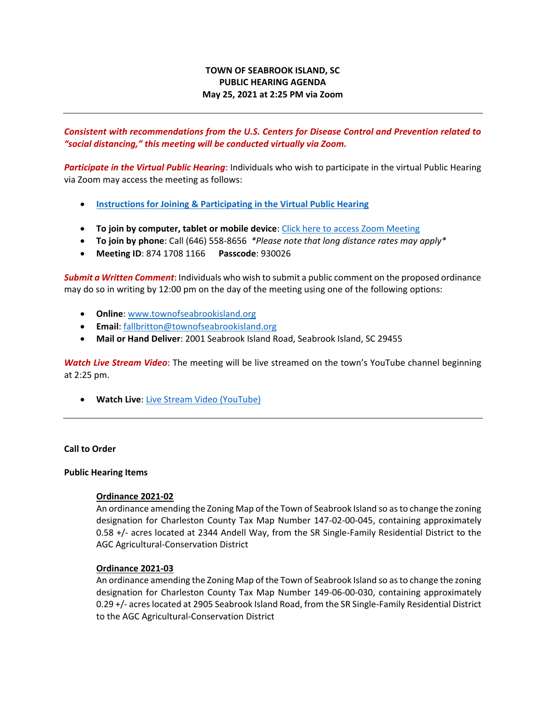# **TOWN OF SEABROOK ISLAND, SC PUBLIC HEARING AGENDA May 25, 2021 at 2:25 PM via Zoom**

*Consistent with recommendations from the U.S. Centers for Disease Control and Prevention related to "social distancing," this meeting will be conducted virtually via Zoom.* 

*Participate in the Virtual Public Hearing*: Individuals who wish to participate in the virtual Public Hearing via Zoom may access the meeting as follows:

- **[Instructions for Joining & Participating in the Virtual Public Hearing](https://www.townofseabrookisland.org/uploads/1/1/5/0/115018967/zoom_instructions.pdf)**
- **To join by computer, tablet or mobile device**: [Click here to access Zoom Meeting](https://us02web.zoom.us/j/87417081166?pwd=ZGE2SHBudC9NUkRldFVyVFNIN0Rsdz09)
- **To join by phone**: Call (646) 558-8656 *\*Please note that long distance rates may apply\**
- **Meeting ID**: 874 1708 1166 **Passcode**: 930026

*Submit a Written Comment*: Individuals who wish to submit a public comment on the proposed ordinance may do so in writing by 12:00 pm on the day of the meeting using one of the following options:

- **Online**[: www.townofseabrookisland.org](http://www.townofseabrookisland.org/)
- **Email**[: fallbritton@townofseabrookisland.org](mailto:fallbritton@townofseabrookisland.org)
- **Mail or Hand Deliver**: 2001 Seabrook Island Road, Seabrook Island, SC 29455

*Watch Live Stream Video*: The meeting will be live streamed on the town's YouTube channel beginning at 2:25 pm.

• **Watch Live**[: Live Stream Video \(YouTube\)](https://www.youtube.com/channel/UCIkF87knEApHD1q0kGlaGZg)

### **Call to Order**

### **Public Hearing Items**

## **Ordinance 2021-02**

An ordinance amending the Zoning Map of the Town of Seabrook Island so as to change the zoning designation for Charleston County Tax Map Number 147-02-00-045, containing approximately 0.58 +/- acres located at 2344 Andell Way, from the SR Single-Family Residential District to the AGC Agricultural-Conservation District

### **Ordinance 2021-03**

An ordinance amending the Zoning Map of the Town of Seabrook Island so as to change the zoning designation for Charleston County Tax Map Number 149-06-00-030, containing approximately 0.29 +/- acres located at 2905 Seabrook Island Road, from the SR Single-Family Residential District to the AGC Agricultural-Conservation District